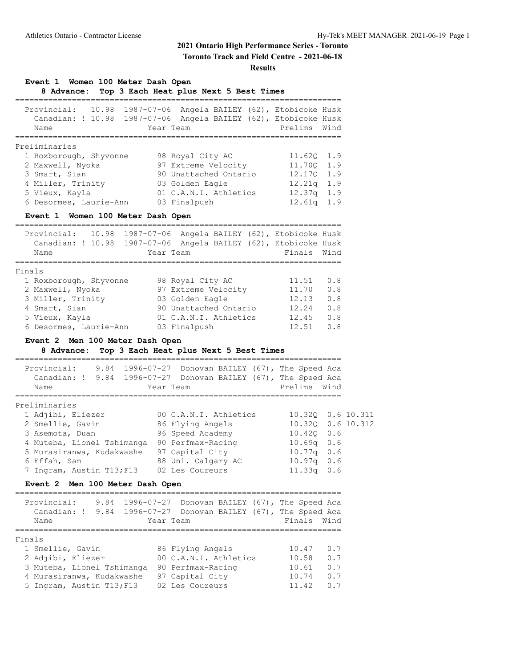**Toronto Track and Field Centre - 2021-06-18**

#### **Results**

**Event 1 Women 100 Meter Dash Open**

**8 Advance: Top 3 Each Heat plus Next 5 Best Times**

| Provincial:<br>10.98<br>Canadian: ! 10.98<br>Name | 1987-07-06 Angela BAILEY (62), Etobicoke Husk<br>1987-07-06 Angela BAILEY (62), Etobicoke Husk<br>Year Team | Prelims Wind  |
|---------------------------------------------------|-------------------------------------------------------------------------------------------------------------|---------------|
|                                                   |                                                                                                             |               |
| Preliminaries                                     |                                                                                                             |               |
| 1 Roxborough, Shyvonne                            |                                                                                                             | 11.620 1.9    |
|                                                   | 98 Royal City AC                                                                                            |               |
| 2 Maxwell, Nyoka                                  | 97 Extreme Velocity                                                                                         | 11.700 1.9    |
| 3 Smart, Sian                                     | 90 Unattached Ontario                                                                                       | 12,170 1.9    |
| 4 Miller, Trinity                                 | 03 Golden Eagle                                                                                             | $12.21q$ 1.9  |
|                                                   |                                                                                                             |               |
| 5 Vieux, Kayla                                    | 01 C.A.N.I. Athletics                                                                                       | $12.37q$ 1.9  |
| 6 Desormes, Laurie-Ann                            | 03 Finalpush                                                                                                | 12.61q<br>1.9 |
|                                                   |                                                                                                             |               |

**Event 1 Women 100 Meter Dash Open**

|        | Provincial: 10.98<br>Canadian: ! 10.98<br>Name |  | Year Team             |  | 1987-07-06 Angela BAILEY (62), Etobicoke Husk<br>1987-07-06 Angela BAILEY (62), Etobicoke Husk<br>Finals Wind |     |
|--------|------------------------------------------------|--|-----------------------|--|---------------------------------------------------------------------------------------------------------------|-----|
|        |                                                |  |                       |  |                                                                                                               |     |
| Finals |                                                |  |                       |  |                                                                                                               |     |
|        | 1 Roxborough, Shyvonne                         |  | 98 Royal City AC      |  | 11.51                                                                                                         | 0.8 |
|        | 2 Maxwell, Nyoka                               |  | 97 Extreme Velocity   |  | 11.70                                                                                                         | 0.8 |
|        | 3 Miller, Trinity                              |  | 03 Golden Eagle       |  | 12.13                                                                                                         | 0.8 |
|        | 4 Smart, Sian                                  |  | 90 Unattached Ontario |  | 12.24                                                                                                         | 0.8 |
|        | 5 Vieux, Kayla                                 |  | 01 C.A.N.I. Athletics |  | 12.45                                                                                                         | 0.8 |
|        | 6 Desormes, Laurie-Ann                         |  | 03 Finalpush          |  | 12.51                                                                                                         | 0.8 |
|        |                                                |  |                       |  |                                                                                                               |     |

#### **Event 2 Men 100 Meter Dash Open**

**8 Advance: Top 3 Each Heat plus Next 5 Best Times**

| Provincial:<br>Canadian: ! 9.84 1996-07-27 Donovan BAILEY (67), The Speed Aca |  |  |  |                       |  | 9.84 1996-07-27 Donovan BAILEY (67), The Speed Aca |     |                   |
|-------------------------------------------------------------------------------|--|--|--|-----------------------|--|----------------------------------------------------|-----|-------------------|
| Name                                                                          |  |  |  | Year Team             |  | Prelims Wind                                       |     |                   |
|                                                                               |  |  |  |                       |  |                                                    |     |                   |
| Preliminaries                                                                 |  |  |  |                       |  |                                                    |     |                   |
| 1 Adjibi, Eliezer                                                             |  |  |  | 00 C.A.N.I. Athletics |  |                                                    |     | 10.320 0.6 10.311 |
| 2 Smellie, Gavin                                                              |  |  |  | 86 Flying Angels      |  |                                                    |     | 10.320 0.6 10.312 |
| 3 Asemota, Duan                                                               |  |  |  | 96 Speed Academy      |  | $10.420$ $0.6$                                     |     |                   |
| 4 Muteba, Lionel Tshimanga                                                    |  |  |  | 90 Perfmax-Racing     |  | 10.69q 0.6                                         |     |                   |
| 5 Murasiranwa, Kudakwashe                                                     |  |  |  | 97 Capital City       |  | $10.77q$ 0.6                                       |     |                   |
| 6 Effah, Sam                                                                  |  |  |  | 88 Uni. Calgary AC    |  | $10.97q$ 0.6                                       |     |                   |
| 7 Ingram, Austin T13; F13                                                     |  |  |  | 02 Les Coureurs       |  | 11.33q                                             | 0.6 |                   |

#### **Event 2 Men 100 Meter Dash Open**

### ===================================================================== Provincial: 9.84 1996-07-27 Donovan BAILEY (67), The Speed Aca Canadian: ! 9.84 1996-07-27 Donovan BAILEY (67), The Speed Aca Name **The Year Team Finals** Wind ===================================================================== Finals 1 Smellie, Gavin 86 Flying Angels 10.47 0.7 2 Adjibi, Eliezer 00 C.A.N.I. Athletics 10.58 0.7 3 Muteba, Lionel Tshimanga 90 Perfmax-Racing 10.61 0.7 4 Murasiranwa, Kudakwashe 97 Capital City 10.74 0.7 5 Ingram, Austin T13;F13 02 Les Coureurs 11.42 0.7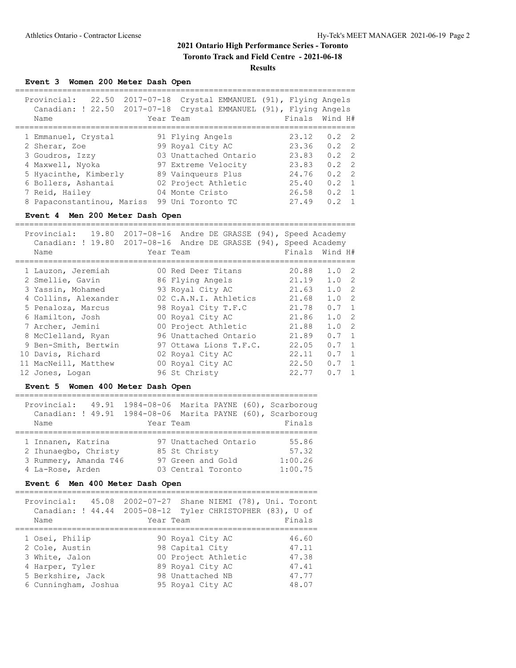## **2021 Ontario High Performance Series - Toronto Toronto Track and Field Centre - 2021-06-18**

**Results**

**Event 3 Women 200 Meter Dash Open**

| Provincial:<br>22.50<br>Canadian: ! 22.50 2017-07-18<br>Name                                                                | 2017-07-18 | Crystal EMMANUEL (91), Flying Angels<br>Crystal EMMANUEL (91), Flying Angels<br>Year Team                                         |                                                    | Finals Wind H#                                                                                             |
|-----------------------------------------------------------------------------------------------------------------------------|------------|-----------------------------------------------------------------------------------------------------------------------------------|----------------------------------------------------|------------------------------------------------------------------------------------------------------------|
| 1 Emmanuel, Crystal<br>2 Sherar, Zoe<br>3 Goudros, Izzy<br>4 Maxwell, Nyoka<br>5 Hyacinthe, Kimberly<br>6 Bollers, Ashantai |            | 91 Flying Angels<br>99 Royal City AC<br>03 Unattached Ontario<br>97 Extreme Velocity<br>89 Vainqueurs Plus<br>02 Project Athletic | 23.12<br>23.36<br>23.83<br>23.83<br>24.76<br>25.40 | $0.2 \quad 2$<br>$0.2 \quad 2$<br>$0.2 \quad 2$<br>$0.2 \quad 2$<br>$0.2 \quad 2$<br>0.2<br>$\overline{1}$ |
| 7 Reid, Hailey<br>8 Papaconstantinou, Mariss                                                                                |            | 04 Monte Cristo<br>99 Uni Toronto TC                                                                                              | 26.58<br>27.49                                     | 0.2<br>$\overline{1}$<br>0 <sub>2</sub><br>$\overline{1}$                                                  |

#### **Event 4 Men 200 Meter Dash Open**

========================================================================

| 19.80<br>Provincial: | 2017-08-16 Andre DE GRASSE (94), Speed Academy                                                                                                                                          |                                                                                                                                    |                                                                                                               |
|----------------------|-----------------------------------------------------------------------------------------------------------------------------------------------------------------------------------------|------------------------------------------------------------------------------------------------------------------------------------|---------------------------------------------------------------------------------------------------------------|
|                      |                                                                                                                                                                                         |                                                                                                                                    |                                                                                                               |
| Name                 | Year Team                                                                                                                                                                               | Finals                                                                                                                             | Wind H#                                                                                                       |
|                      |                                                                                                                                                                                         |                                                                                                                                    | 1.0 <sub>2</sub>                                                                                              |
|                      |                                                                                                                                                                                         |                                                                                                                                    | 1.0 2                                                                                                         |
|                      |                                                                                                                                                                                         |                                                                                                                                    |                                                                                                               |
|                      |                                                                                                                                                                                         |                                                                                                                                    | 1.0 <sub>2</sub>                                                                                              |
|                      | 02 C.A.N.I. Athletics                                                                                                                                                                   |                                                                                                                                    | 1.0 2                                                                                                         |
|                      | 98 Royal City T.F.C                                                                                                                                                                     | 21.78                                                                                                                              | $0.7 \quad 1$                                                                                                 |
|                      | 00 Royal City AC                                                                                                                                                                        | 21.86                                                                                                                              | 1.0 2                                                                                                         |
|                      | 00 Project Athletic                                                                                                                                                                     | 21.88                                                                                                                              | 1.0 2                                                                                                         |
|                      | 96 Unattached Ontario                                                                                                                                                                   | 21.89                                                                                                                              | $0.7 \quad 1$                                                                                                 |
|                      | 97 Ottawa Lions T.F.C.                                                                                                                                                                  | 22.05                                                                                                                              | $0.7 \quad 1$                                                                                                 |
|                      | 02 Royal City AC                                                                                                                                                                        | 22.11                                                                                                                              | $0.7 \quad 1$                                                                                                 |
|                      | 00 Royal City AC                                                                                                                                                                        |                                                                                                                                    | $0.7 \quad 1$                                                                                                 |
|                      | 96 St Christy                                                                                                                                                                           | 22.77                                                                                                                              | 0.7<br>$\overline{1}$                                                                                         |
|                      | 1 Lauzon, Jeremiah<br>2 Smellie, Gavin<br>3 Yassin, Mohamed<br>5 Penaloza, Marcus<br>6 Hamilton, Josh<br>7 Archer, Jemini<br>8 McClelland, Ryan<br>10 Davis, Richard<br>12 Jones, Logan | 00 Red Deer Titans<br>86 Flying Angels<br>93 Royal City AC<br>4 Collins, Alexander<br>9 Ben-Smith, Bertwin<br>11 MacNeill, Matthew | Canadian: ! 19.80 2017-08-16 Andre DE GRASSE (94), Speed Academy<br>20.88<br>21.19<br>21.63<br>21.68<br>22.50 |

#### **Event 5 Women 400 Meter Dash Open**

| Provincial:<br>Name   | 49.91 |  | Year Team |                       |  | 1984-08-06 Marita PAYNE (60), Scarboroug<br>Canadian: ! 49.91 1984-08-06 Marita PAYNE (60), Scarboroug<br>Finals |
|-----------------------|-------|--|-----------|-----------------------|--|------------------------------------------------------------------------------------------------------------------|
|                       |       |  |           |                       |  |                                                                                                                  |
|                       |       |  |           |                       |  |                                                                                                                  |
| 1 Innanen, Katrina    |       |  |           | 97 Unattached Ontario |  | 55.86                                                                                                            |
| 2 Ihunaeqbo, Christy  |       |  |           | 85 St Christy         |  | 57.32                                                                                                            |
| 3 Rummery, Amanda T46 |       |  |           | 97 Green and Gold     |  | 1:00.26                                                                                                          |
| 4 La-Rose, Arden      |       |  |           | 03 Central Toronto    |  | 1:00.75                                                                                                          |

### **Event 6 Men 400 Meter Dash Open**

| Provincial:<br>45.08<br>Canadian: ! 44.44<br>Name                                                                  | 2002-07-27<br>Shane NIEMI (78), Uni. Toront<br>Tyler CHRISTOPHER (83), U of<br>$2005 - 08 - 12$<br>Year Team           | Finals                                             |
|--------------------------------------------------------------------------------------------------------------------|------------------------------------------------------------------------------------------------------------------------|----------------------------------------------------|
| 1 Osei, Philip<br>2 Cole, Austin<br>3 White, Jalon<br>4 Harper, Tyler<br>5 Berkshire, Jack<br>6 Cunningham, Joshua | 90 Royal City AC<br>98 Capital City<br>00 Project Athletic<br>89 Royal City AC<br>98 Unattached NB<br>95 Royal City AC | 46.60<br>47.11<br>47.38<br>47.41<br>47.77<br>48.07 |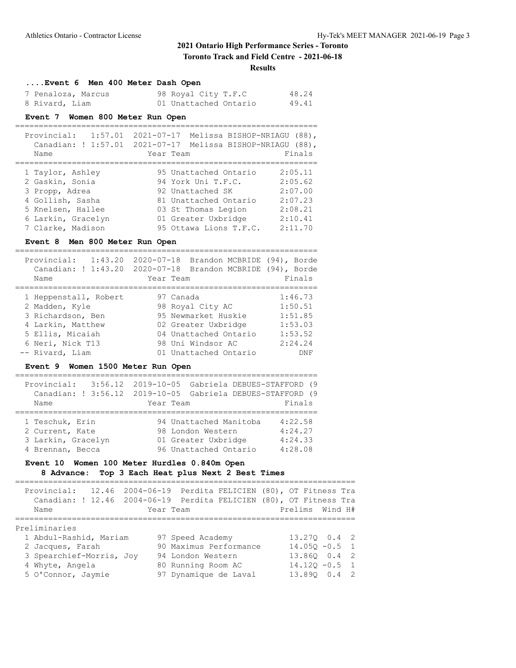**Toronto Track and Field Centre - 2021-06-18**

#### **Results**

### **....Event 6 Men 400 Meter Dash Open**

| 7 Penaloza, Marcus | 98 Royal City T.F.C   | 48.24 |
|--------------------|-----------------------|-------|
| 8 Rivard, Liam     | 01 Unattached Ontario | 49.41 |

#### **Event 7 Women 800 Meter Run Open**

================================================================ Provincial: 1:57.01 2021-07-17 Melissa BISHOP-NRIAGU (88),

| $L$ $\perp$ $U$ $V$ $\perp$ $H$ $L$ $\perp$ $G$ $\perp$ $\perp$<br>Name | LOLI UTTI TIELLOSA DISHUI NIILAGU (UUTT<br>Canadian: ! 1:57.01 2021-07-17 Melissa BISHOP-NRIAGU (88),<br>Year Team | Finals  |
|-------------------------------------------------------------------------|--------------------------------------------------------------------------------------------------------------------|---------|
| 1 Taylor, Ashley                                                        | 95 Unattached Ontario                                                                                              | 2:05.11 |
| 2 Gaskin, Sonia                                                         | 94 York Uni T.F.C.                                                                                                 | 2:05.62 |
| 3 Propp, Adrea                                                          | 92 Unattached SK                                                                                                   | 2:07.00 |
| 4 Gollish, Sasha                                                        | 81 Unattached Ontario                                                                                              | 2:07.23 |
| 5 Knelsen, Hallee                                                       | 03 St Thomas Legion                                                                                                | 2:08.21 |
| 6 Larkin, Gracelyn                                                      | 01 Greater Uxbridge                                                                                                | 2:10.41 |
| 7 Clarke, Madison                                                       | 95 Ottawa Lions T.F.C.                                                                                             | 2:11.70 |

#### **Event 8 Men 800 Meter Run Open**

================================================================

| 1:43.20<br>Provincial:<br>Canadian: ! 1:43.20<br>Name | $2020 - 07 - 18$<br>$2020 - 07 - 18$ | Brandon MCBRIDE (94), Borde<br>Brandon MCBRIDE (94), Borde<br>Year Team | Finals     |
|-------------------------------------------------------|--------------------------------------|-------------------------------------------------------------------------|------------|
|                                                       |                                      |                                                                         |            |
| 1 Heppenstall, Robert                                 |                                      | 97 Canada                                                               | 1:46.73    |
| 2 Madden, Kyle                                        |                                      | 98 Royal City AC                                                        | 1:50.51    |
| 3 Richardson, Ben                                     |                                      | 95 Newmarket Huskie                                                     | 1:51.85    |
| 4 Larkin, Matthew                                     |                                      | 02 Greater Uxbridge                                                     | 1:53.03    |
| 5 Ellis, Micaiah                                      |                                      | 04 Unattached Ontario                                                   | 1:53.52    |
| 6 Neri, Nick T13                                      |                                      | 98 Uni Windsor AC                                                       | 2:24.24    |
| -- Rivard, Liam                                       |                                      | 01 Unattached Ontario                                                   | <b>DNF</b> |

### **Event 9 Women 1500 Meter Run Open**

| Provincial:        | 3:56.12  2019-10-05  Gabriela DEBUES-STAFFORD (9<br>Canadian: ! 3:56.12 2019-10-05 Gabriela DEBUES-STAFFORD (9 |         |
|--------------------|----------------------------------------------------------------------------------------------------------------|---------|
| Name               | Year Team                                                                                                      | Finals  |
| 1 Teschuk, Erin    | 94 Unattached Manitoba                                                                                         | 4:22.58 |
| 2 Current, Kate    | 98 London Western                                                                                              | 4:24.27 |
| 3 Larkin, Gracelyn | 01 Greater Uxbridge                                                                                            | 4:24.33 |
| 4 Brennan, Becca   | 96 Unattached Ontario                                                                                          | 4:28.08 |

### **Event 10 Women 100 Meter Hurdles 0.840m Open 8 Advance: Top 3 Each Heat plus Next 2 Best Times**

### ========================================================================

| Name                     |  | Provincial: 12.46 2004-06-19 Perdita FELICIEN (80), OT Fitness Tra<br>Canadian: ! 12.46 2004-06-19 Perdita FELICIEN (80), OT Fitness Tra<br>Year Team | Prelims Wind H#  |  |
|--------------------------|--|-------------------------------------------------------------------------------------------------------------------------------------------------------|------------------|--|
| Preliminaries            |  |                                                                                                                                                       |                  |  |
| 1 Abdul-Rashid, Mariam   |  | 97 Speed Academy                                                                                                                                      | 13.270 0.4 2     |  |
| 2 Jacques, Farah         |  | 90 Maximus Performance                                                                                                                                | $14.050 - 0.5$ 1 |  |
| 3 Spearchief-Morris, Joy |  | 94 London Western                                                                                                                                     | 13.860 0.4 2     |  |
| 4 Whyte, Angela          |  | 80 Running Room AC                                                                                                                                    | $14.120 - 0.5$ 1 |  |
| 5 O'Connor, Jaymie       |  | 97 Dynamique de Laval                                                                                                                                 | 13.890 0.4 2     |  |
|                          |  |                                                                                                                                                       |                  |  |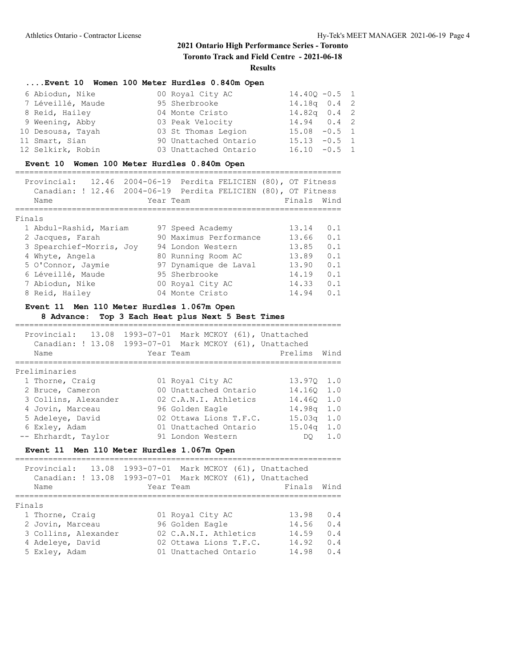**Toronto Track and Field Centre - 2021-06-18**

**Results**

### **....Event 10 Women 100 Meter Hurdles 0.840m Open**

| 6 Abiodun, Nike   | 00 Royal City AC      | $14.400 - 0.5$ 1 |  |
|-------------------|-----------------------|------------------|--|
| 7 Léveillé, Maude | 95 Sherbrooke         | $14.18q$ 0.4 2   |  |
| 8 Reid, Hailey    | 04 Monte Cristo       | $14.82q$ 0.4 2   |  |
| 9 Weening, Abby   | 03 Peak Velocity      | $14.94$ 0.4 2    |  |
| 10 Desousa, Tayah | 03 St Thomas Legion   | $15.08 - 0.5$ 1  |  |
| 11 Smart, Sian    | 90 Unattached Ontario | $15.13 - 0.5$ 1  |  |
| 12 Selkirk, Robin | 03 Unattached Ontario | $16.10 - 0.5 1$  |  |

#### **Event 10 Women 100 Meter Hurdles 0.840m Open**

|        | Provincial:<br>12.46<br>Canadian: ! 12.46<br>Name | Year Team | 2004-06-19 Perdita FELICIEN (80), OT Fitness<br>2004-06-19 Perdita FELICIEN (80), OT Fitness | Finals | Wind           |
|--------|---------------------------------------------------|-----------|----------------------------------------------------------------------------------------------|--------|----------------|
| Finals |                                                   |           |                                                                                              |        |                |
|        | 1 Abdul-Rashid, Mariam                            |           | 97 Speed Academy                                                                             | 13.14  | 0.1            |
|        | 2 Jacques, Farah                                  |           | 90 Maximus Performance                                                                       | 13.66  | 0.1            |
|        | 3 Spearchief-Morris, Joy                          |           | 94 London Western                                                                            | 13.85  | 0.1            |
|        | 4 Whyte, Angela                                   |           | 80 Running Room AC                                                                           | 13.89  | 0.1            |
|        | 5 O'Connor, Jaymie                                |           | 97 Dynamique de Laval                                                                        | 13.90  | 0.1            |
|        | 6 Léveillé, Maude                                 |           | 95 Sherbrooke                                                                                | 14.19  | 0.1            |
|        | 7 Abiodun, Nike                                   |           | 00 Royal City AC                                                                             | 14.33  | 0.1            |
|        | 8 Reid, Hailey                                    |           | 04 Monte Cristo                                                                              | 14.94  | O <sub>1</sub> |

### **Event 11 Men 110 Meter Hurdles 1.067m Open**

**8 Advance: Top 3 Each Heat plus Next 5 Best Times**

| Provincial: 13.08<br>Canadian: ! 13.08<br>Name | Year Team | 1993-07-01 Mark MCKOY (61), Unattached<br>1993-07-01 Mark MCKOY (61), Unattached | Prelims            | Wind |
|------------------------------------------------|-----------|----------------------------------------------------------------------------------|--------------------|------|
|                                                |           |                                                                                  |                    |      |
| Preliminaries                                  |           |                                                                                  |                    |      |
| 1 Thorne, Craig                                |           | 01 Royal City AC                                                                 | 13.970 1.0         |      |
| 2 Bruce, Cameron                               |           | 00 Unattached Ontario                                                            | 14.160 1.0         |      |
| 3 Collins, Alexander                           |           | 02 C.A.N.I. Athletics                                                            | 14.460             | 1.0  |
| 4 Jovin, Marceau                               |           | 96 Golden Eagle                                                                  | 14.98a             | 1.0  |
| 5 Adeleye, David                               |           | 02 Ottawa Lions T.F.C.                                                           | 15.03 <sub>q</sub> | 1.0  |
| 6 Exlev, Adam                                  |           | 01 Unattached Ontario                                                            | 15.04 <sub>q</sub> | 1.0  |
| -- Ehrhardt, Taylor                            |           | 91 London Western                                                                | DO                 | 1.0  |

### **Event 11 Men 110 Meter Hurdles 1.067m Open**

| Provincial:<br>13.08<br>Canadian: ! 13.08<br>Name | Year Team | 1993-07-01 Mark MCKOY (61), Unattached<br>1993-07-01 Mark MCKOY (61), Unattached | Finals | Wind      |  |
|---------------------------------------------------|-----------|----------------------------------------------------------------------------------|--------|-----------|--|
| Finals                                            |           |                                                                                  |        |           |  |
| 1 Thorne, Craig                                   |           | 01 Royal City AC                                                                 | 13.98  | 0.4       |  |
| 2 Jovin, Marceau                                  |           | 96 Golden Eagle                                                                  | 14.56  | 0.4       |  |
| 3 Collins, Alexander                              |           | 02 C.A.N.I. Athletics                                                            | 14.59  | 0.4       |  |
| 4 Adeleye, David                                  |           | 02 Ottawa Lions T.F.C.                                                           | 14.92  | 0.4       |  |
| 5 Exlev, Adam                                     |           | 01 Unattached Ontario                                                            | 14.98  | $0\quad4$ |  |
|                                                   |           |                                                                                  |        |           |  |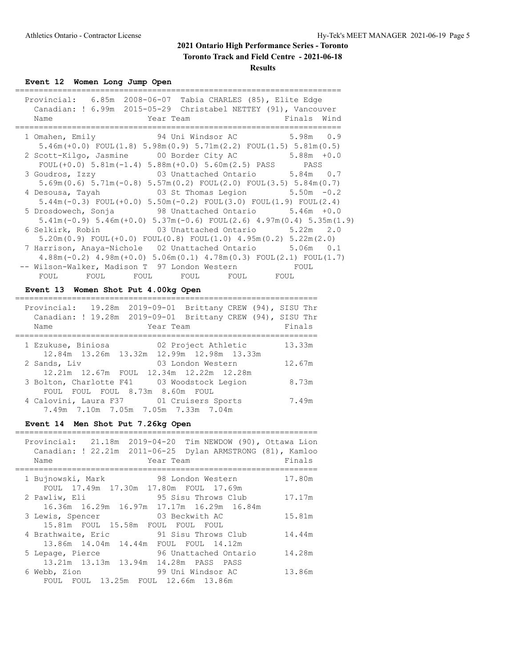**Toronto Track and Field Centre - 2021-06-18**

**Results**

**Event 12 Women Long Jump Open**

| Provincial: 6.85m 2008-06-07 Tabia CHARLES (85), Elite Edge<br>Canadian: ! 6.99m 2015-05-29 Christabel NETTEY (91), Vancouver |
|-------------------------------------------------------------------------------------------------------------------------------|
| Finals Wind<br>Name<br><b>Example 2</b> Year Team                                                                             |
| 1 Omahen, Emily 94 Uni Windsor AC 5.98m 0.9                                                                                   |
| $5.46m (+0.0)$ FOUL $(1.8)$ $5.98m(0.9)$ $5.71m(2.2)$ FOUL $(1.5)$ $5.81m(0.5)$                                               |
| 2 Scott-Kilgo, Jasmine 00 Border City AC 5.88m +0.0                                                                           |
| FOUL $(+0.0)$ 5.81m $(-1.4)$ 5.88m $(+0.0)$ 5.60m $(2.5)$ PASS PASS                                                           |
| 3 Goudros, Izzy 63 Unattached Ontario 5.84m 0.7                                                                               |
| $5.69$ m $(0.6)$ $5.71$ m $(-0.8)$ $5.57$ m $(0.2)$ FOUL $(2.0)$ FOUL $(3.5)$ $5.84$ m $(0.7)$                                |
| 03 St Thomas Legion $5.50m -0.2$<br>4 Desousa, Tayah                                                                          |
| $5.44$ m(-0.3) FOUL(+0.0) $5.50$ m(-0.2) FOUL(3.0) FOUL(1.9) FOUL(2.4)                                                        |
| 5 Drosdowech, Sonja 38 Unattached Ontario 5.46m +0.0                                                                          |
| $5.41m(-0.9)$ $5.46m(+0.0)$ $5.37m(-0.6)$ FOUL(2.6) $4.97m(0.4)$ $5.35m(1.9)$                                                 |
| 6 Selkirk, Robin 63 Unattached Ontario 5.22m 2.0                                                                              |
| $5.20$ m $(0.9)$ FOUL $(+0.0)$ FOUL $(0.8)$ FOUL $(1.0)$ $4.95$ m $(0.2)$ $5.22$ m $(2.0)$                                    |
| 7 Harrison, Anaya-Nichole 02 Unattached Ontario 5.06m 0.1                                                                     |
| $4.88$ m (-0.2) $4.98$ m (+0.0) $5.06$ m (0.1) $4.78$ m (0.3) FOUL (2.1) FOUL (1.7)                                           |
| -- Wilson-Walker, Madison T 97 London Western FOUL                                                                            |
| FOUL<br>FOUL FOUL FOUL<br>FOUL FOUL                                                                                           |

### **Event 13 Women Shot Put 4.00kg Open**

| Provincial:<br>19.28m  2019-09-01  Brittany CREW (94), SISU Thr<br>Canadian: ! 19.28m  2019-09-01  Brittany CREW (94), SISU Thr<br>Year Team<br>Name | Finals |
|------------------------------------------------------------------------------------------------------------------------------------------------------|--------|
| 02 Project Athletic<br>1 Ezukuse, Biniosa<br>12.84m 13.26m 13.32m 12.99m 12.98m 13.33m                                                               | 13.33m |
| 2 Sands, Liv<br>03 London Western<br>12.21m 12.67m FOUL 12.34m 12.22m 12.28m                                                                         | 12.67m |
| 3 Bolton, Charlotte F41 03 Woodstock Legion<br>FOUL FOUL FOUL 8.73m 8.60m FOUL                                                                       | 8.73m  |
| 4 Calovini, Laura F37 01 Cruisers Sports<br>7.49m 7.10m 7.05m 7.05m 7.33m 7.04m                                                                      | 7.49m  |

### **Event 14 Men Shot Put 7.26kg Open**

| Provincial: 21.18m 2019-04-20 Tim NEWDOW (90), Ottawa Lion<br>Canadian: ! 22.21m  2011-06-25  Dylan ARMSTRONG (81), Kamloo<br>Name<br>Year Team | Finals |
|-------------------------------------------------------------------------------------------------------------------------------------------------|--------|
| 98 London Western<br>1 Bujnowski, Mark<br>FOUL 17.49m 17.30m 17.80m FOUL 17.69m                                                                 | 17.80m |
| 95 Sisu Throws Club<br>2 Pawliw, Eli<br>16.36m 16.29m 16.97m 17.17m 16.29m 16.84m                                                               | 17.17m |
| 03 Beckwith AC<br>3 Lewis, Spencer<br>15.81m FOUL 15.58m FOUL FOUL FOUL                                                                         | 15.81m |
| 91 Sisu Throws Club<br>4 Brathwaite, Eric<br>13.86m 14.04m 14.44m FOUL FOUL 14.12m                                                              | 14.44m |
| 96 Unattached Ontario<br>5 Lepage, Pierce<br>13.21m 13.13m 13.94m 14.28m PASS PASS                                                              | 14.28m |
| 99 Uni Windsor AC<br>6 Webb, Zion<br>FOUL FOUL 13.25m FOUL 12.66m 13.86m                                                                        | 13.86m |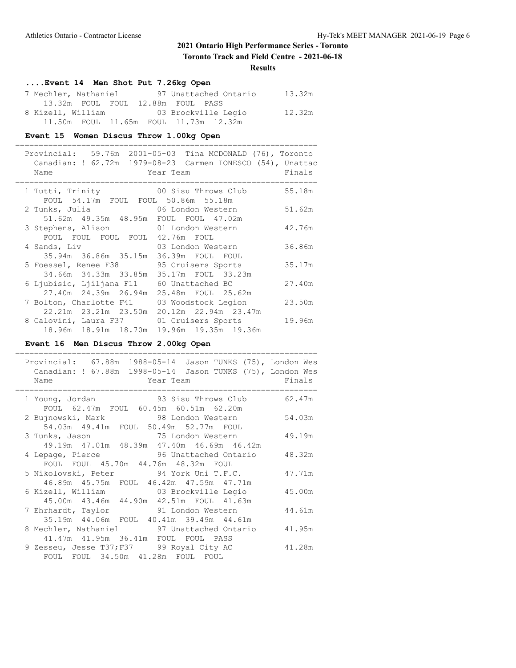**Toronto Track and Field Centre - 2021-06-18**

#### **Results**

| Event 14 Men Shot Put 7.26kg Open          |        |
|--------------------------------------------|--------|
| 7 Mechler, Nathaniel 97 Unattached Ontario | 13.32m |
| 13.32m FOUL FOUL 12.88m FOUL PASS          |        |
| 8 Kizell, William 63 Brockville Legio      | 12.32m |
| 11.50m FOUL 11.65m FOUL 11.73m 12.32m      |        |

#### **Event 15 Women Discus Throw 1.00kg Open**

|  | Name                                                                                      | Provincial: 59.76m 2001-05-03 Tina MCDONALD (76), Toronto<br>Canadian: ! 62.72m 1979-08-23 Carmen IONESCO (54), Unattac<br>Year Team | Finals |
|--|-------------------------------------------------------------------------------------------|--------------------------------------------------------------------------------------------------------------------------------------|--------|
|  | FOUL 54.17m FOUL FOUL 50.86m 55.18m                                                       | 1 Tutti, Trinity 00 Sisu Throws Club                                                                                                 | 55.18m |
|  | 51.62m  49.35m  48.95m  FOUL  FOUL  47.02m                                                | 2 Tunks, Julia                             06 London Western                                                                         | 51.62m |
|  | 3 Stephens, Alison 01 London Western<br>FOUL FOUL FOUL FOUL 42.76m FOUL                   |                                                                                                                                      | 42.76m |
|  | 4 Sands, Liv<br>35.94m 36.86m 35.15m 36.39m FOUL FOUL                                     | 03 London Western                                                                                                                    | 36.86m |
|  | 5 Foessel, Renee F38 95 Cruisers Sports<br>34.66m 34.33m 33.85m 35.17m FOUL 33.23m        |                                                                                                                                      | 35.17m |
|  | 6 Ljubisic, Ljiljana F11 60 Unattached BC<br>27.40m  24.39m  26.94m  25.48m  FOUL  25.62m |                                                                                                                                      | 27.40m |
|  | 22.21m 23.21m 23.50m 20.12m 22.94m 23.47m                                                 | 7 Bolton, Charlotte F41 03 Woodstock Legion                                                                                          | 23.50m |
|  | 18.96m 18.91m 18.70m 19.96m 19.35m 19.36m                                                 | 8 Calovini, Laura F37 01 Cruisers Sports                                                                                             | 19.96m |

### **Event 16 Men Discus Throw 2.00kg Open**

| Provincial: 67.88m 1988-05-14 Jason TUNKS (75), London Wes<br>Canadian: ! 67.88m  1998-05-14  Jason TUNKS (75), London Wes |        |
|----------------------------------------------------------------------------------------------------------------------------|--------|
| Year Team<br>Name                                                                                                          | Finals |
| 1 Young, Jordan 62.47m<br>FOUL 62.47m FOUL 60.45m 60.51m 62.20m                                                            |        |
| 2 Bujnowski, Mark 38 London Western 54.03m<br>54.03m  49.41m  FOUL  50.49m  52.77m  FOUL                                   |        |
| 3 Tunks, Jason 3 75 London Western 49.19m<br>49.19m 47.01m 48.39m 47.40m 46.69m 46.42m                                     |        |
| 4 Lepage, Pierce 36 Unattached Ontario 48.32m<br>FOUL FOUL 45.70m 44.76m 48.32m FOUL                                       |        |
| 5 Nikolovski, Peter 94 York Uni T.F.C. 47.71m<br>46.89m  45.75m  FOUL  46.42m  47.59m  47.71m                              |        |
| 6 Kizell, William               03 Brockville Legio<br>45.00m 43.46m 44.90m 42.51m FOUL 41.63m                             | 45.00m |
| 7 Ehrhardt, Taylor 91 London Western 44.61m<br>35.19m  44.06m  FOUL  40.41m  39.49m  44.61m                                |        |
| 8 Mechler, Nathaniel 97 Unattached Ontario 41.95m<br>41.47m 41.95m 36.41m FOUL FOUL PASS                                   |        |
| 9 Zesseu, Jesse T37; F37 99 Royal City AC<br>FOUL FOUL 34.50m 41.28m FOUL FOUL                                             | 41.28m |